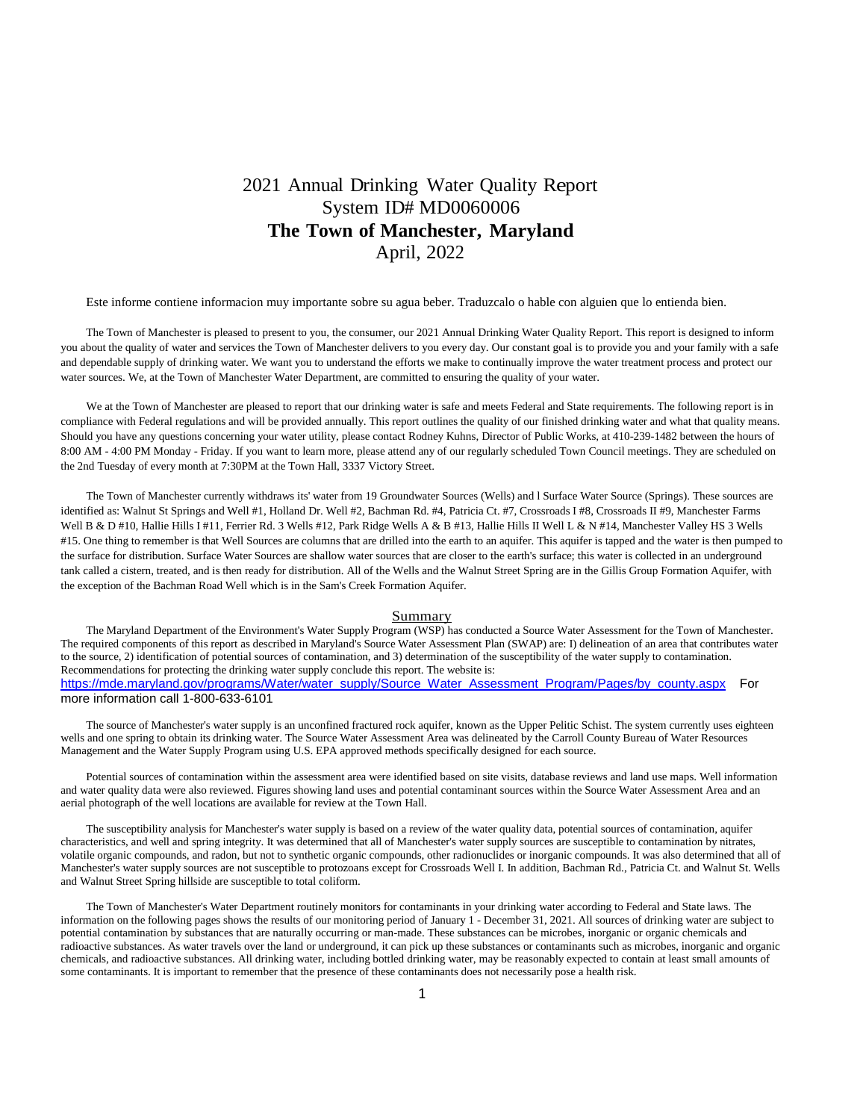# 2021 Annual Drinking Water Quality Report System ID# MD0060006 **The Town of Manchester, Maryland** April, 2022

Este informe contiene informacion muy importante sobre su agua beber. Traduzcalo o hable con alguien que lo entienda bien.

The Town of Manchester is pleased to present to you, the consumer, our 2021 Annual Drinking Water Quality Report. This report is designed to inform you about the quality of water and services the Town of Manchester delivers to you every day. Our constant goal is to provide you and your family with a safe and dependable supply of drinking water. We want you to understand the efforts we make to continually improve the water treatment process and protect our water sources. We, at the Town of Manchester Water Department, are committed to ensuring the quality of your water.

We at the Town of Manchester are pleased to report that our drinking water is safe and meets Federal and State requirements. The following report is in compliance with Federal regulations and will be provided annually. This report outlines the quality of our finished drinking water and what that quality means. Should you have any questions concerning your water utility, please contact Rodney Kuhns, Director of Public Works, at 410-239-1482 between the hours of 8:00 AM - 4:00 PM Monday - Friday. If you want to learn more, please attend any of our regularly scheduled Town Council meetings. They are scheduled on the 2nd Tuesday of every month at 7:30PM at the Town Hall, 3337 Victory Street.

The Town of Manchester currently withdraws its' water from 19 Groundwater Sources (Wells) and l Surface Water Source (Springs). These sources are identified as: Walnut St Springs and Well #1, Holland Dr. Well #2, Bachman Rd. #4, Patricia Ct. #7, Crossroads I #8, Crossroads II #9, Manchester Farms Well B & D #10, Hallie Hills I #11, Ferrier Rd. 3 Wells #12, Park Ridge Wells A & B #13, Hallie Hills II Well L & N #14, Manchester Valley HS 3 Wells #15. One thing to remember is that Well Sources are columns that are drilled into the earth to an aquifer. This aquifer is tapped and the water is then pumped to the surface for distribution. Surface Water Sources are shallow water sources that are closer to the earth's surface; this water is collected in an underground tank called a cistern, treated, and is then ready for distribution. All of the Wells and the Walnut Street Spring are in the Gillis Group Formation Aquifer, with the exception of the Bachman Road Well which is in the Sam's Creek Formation Aquifer.

## Summary

The Maryland Department of the Environment's Water Supply Program (WSP) has conducted a Source Water Assessment for the Town of Manchester. The required components of this report as described in Maryland's Source Water Assessment Plan (SWAP) are: I) delineation of an area that contributes water to the source, 2) identification of potential sources of contamination, and 3) determination of the susceptibility of the water supply to contamination. Recommendations for protecting the drinking water supply conclude this report. The website is: [https://mde.maryland.gov/programs/Water/water\\_supply/Source\\_Water\\_Assessment\\_Program/Pages/by\\_county.aspx](https://mde.maryland.gov/programs/Water/water_supply/Source_Water_Assessment_Program/Pages/by_county.aspx) For more information call 1-800-633-6101

The source of Manchester's water supply is an unconfined fractured rock aquifer, known as the Upper Pelitic Schist. The system currently uses eighteen wells and one spring to obtain its drinking water. The Source Water Assessment Area was delineated by the Carroll County Bureau of Water Resources Management and the Water Supply Program using U.S. EPA approved methods specifically designed for each source.

Potential sources of contamination within the assessment area were identified based on site visits, database reviews and land use maps. Well information and water quality data were also reviewed. Figures showing land uses and potential contaminant sources within the Source Water Assessment Area and an aerial photograph of the well locations are available for review at the Town Hall.

The susceptibility analysis for Manchester's water supply is based on a review of the water quality data, potential sources of contamination, aquifer characteristics, and well and spring integrity. It was determined that all of Manchester's water supply sources are susceptible to contamination by nitrates, volatile organic compounds, and radon, but not to synthetic organic compounds, other radionuclides or inorganic compounds. It was also determined that all of Manchester's water supply sources are not susceptible to protozoans except for Crossroads Well I. In addition, Bachman Rd., Patricia Ct. and Walnut St. Wells and Walnut Street Spring hillside are susceptible to total coliform.

The Town of Manchester's Water Department routinely monitors for contaminants in your drinking water according to Federal and State laws. The information on the following pages shows the results of our monitoring period of January 1 - December 31, 2021. All sources of drinking water are subject to potential contamination by substances that are naturally occurring or man-made. These substances can be microbes, inorganic or organic chemicals and radioactive substances. As water travels over the land or underground, it can pick up these substances or contaminants such as microbes, inorganic and organic chemicals, and radioactive substances. All drinking water, including bottled drinking water, may be reasonably expected to contain at least small amounts of some contaminants. It is important to remember that the presence of these contaminants does not necessarily pose a health risk.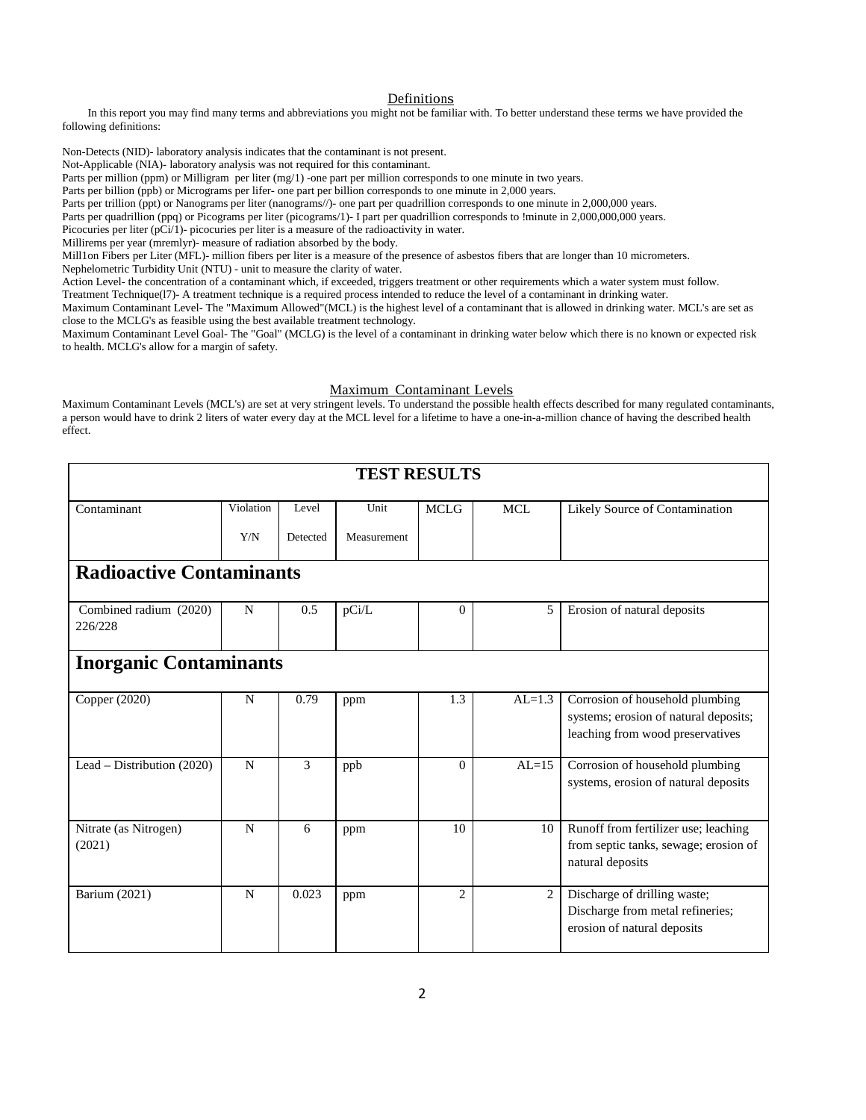# Definitions

In this report you may find many terms and abbreviations you might not be familiar with. To better understand these terms we have provided the following definitions:

Non-Detects (NID)- laboratory analysis indicates that the contaminant is not present.

Not-Applicable (NIA)- laboratory analysis was not required for this contaminant.

Parts per million (ppm) or Milligram per liter (mg/1) -one part per million corresponds to one minute in two years.

Parts per billion (ppb) or Micrograms per lifer- one part per billion corresponds to one minute in 2,000 years.

Parts per trillion (ppt) or Nanograms per liter (nanograms//)- one part per quadrillion corresponds to one minute in 2,000,000 years.

Parts per quadrillion (ppq) or Picograms per liter (picograms/1)- I part per quadrillion corresponds to !minute in 2,000,000,000 years.

Picocuries per liter (pCi/1)- picocuries per liter is a measure of the radioactivity in water.

Millirems per year (mremlyr)- measure of radiation absorbed by the body.

Mill1on Fibers per Liter (MFL)- million fibers per liter is a measure of the presence of asbestos fibers that are longer than 10 micrometers. Nephelometric Turbidity Unit (NTU) - unit to measure the clarity of water.

Action Level- the concentration of a contaminant which, if exceeded, triggers treatment or other requirements which a water system must follow.

Treatment Technique(l7)- A treatment technique is a required process intended to reduce the level of a contaminant in drinking water.

Maximum Contaminant Level- The "Maximum Allowed"(MCL) is the highest level of a contaminant that is allowed in drinking water. MCL's are set as close to the MCLG's as feasible using the best available treatment technology.

Maximum Contaminant Level Goal- The "Goal" (MCLG) is the level of a contaminant in drinking water below which there is no known or expected risk to health. MCLG's allow for a margin of safety.

# Maximum Contaminant Levels

Maximum Contaminant Levels (MCL's) are set at very stringent levels. To understand the possible health effects described for many regulated contaminants, a person would have to drink 2 liters of water every day at the MCL level for a lifetime to have a one-in-a-million chance of having the described health effect.

| <b>TEST RESULTS</b>               |           |          |             |                |                             |                                                                                                              |  |  |  |  |  |
|-----------------------------------|-----------|----------|-------------|----------------|-----------------------------|--------------------------------------------------------------------------------------------------------------|--|--|--|--|--|
| Contaminant                       | Violation | Level    | Unit        | <b>MCLG</b>    | <b>MCL</b>                  | Likely Source of Contamination                                                                               |  |  |  |  |  |
|                                   | Y/N       | Detected | Measurement |                |                             |                                                                                                              |  |  |  |  |  |
| <b>Radioactive Contaminants</b>   |           |          |             |                |                             |                                                                                                              |  |  |  |  |  |
| Combined radium (2020)<br>226/228 | N         | 0.5      | pCi/L       | $\Omega$       | 5                           | Erosion of natural deposits                                                                                  |  |  |  |  |  |
| <b>Inorganic Contaminants</b>     |           |          |             |                |                             |                                                                                                              |  |  |  |  |  |
| Copper (2020)                     | N         | 0.79     | ppm         | 1.3            | $AL=1.3$                    | Corrosion of household plumbing<br>systems; erosion of natural deposits;<br>leaching from wood preservatives |  |  |  |  |  |
| Lead – Distribution $(2020)$      | N         | 3        | ppb         | $\Omega$       | $AL=15$                     | Corrosion of household plumbing<br>systems, erosion of natural deposits                                      |  |  |  |  |  |
| Nitrate (as Nitrogen)<br>(2021)   | N         | 6        | ppm         | 10             | 10                          | Runoff from fertilizer use; leaching<br>from septic tanks, sewage; erosion of<br>natural deposits            |  |  |  |  |  |
| Barium (2021)                     | N         | 0.023    | ppm         | $\overline{2}$ | $\mathcal{D}_{\mathcal{L}}$ | Discharge of drilling waste;<br>Discharge from metal refineries;<br>erosion of natural deposits              |  |  |  |  |  |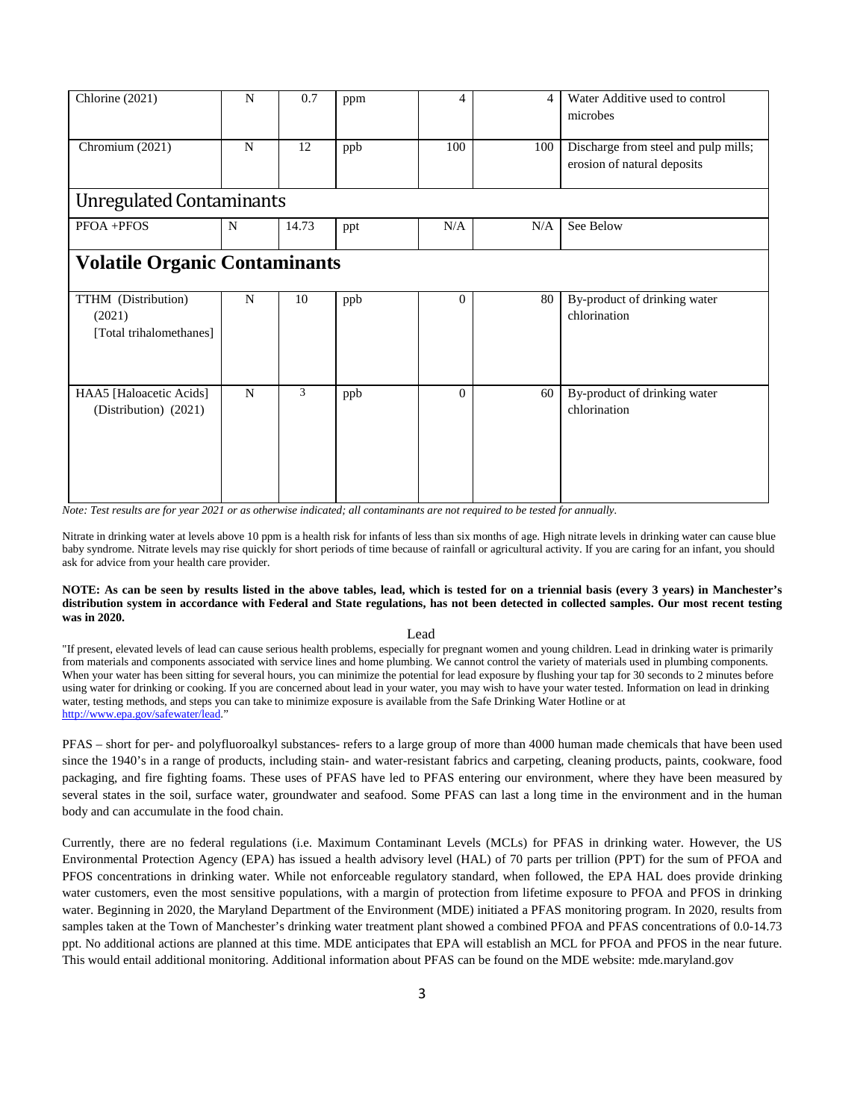| Chlorine (2021)                                          | N           | 0.7   | ppm | 4            | $\overline{\mathcal{A}}$ | Water Additive used to control                                      |  |  |  |  |
|----------------------------------------------------------|-------------|-------|-----|--------------|--------------------------|---------------------------------------------------------------------|--|--|--|--|
|                                                          |             |       |     |              |                          | microbes                                                            |  |  |  |  |
| Chromium (2021)                                          | N           | 12    | ppb | 100          | 100                      | Discharge from steel and pulp mills;<br>erosion of natural deposits |  |  |  |  |
| <b>Unregulated Contaminants</b>                          |             |       |     |              |                          |                                                                     |  |  |  |  |
| PFOA +PFOS                                               | N           | 14.73 | ppt | N/A          | N/A                      | See Below                                                           |  |  |  |  |
| <b>Volatile Organic Contaminants</b>                     |             |       |     |              |                          |                                                                     |  |  |  |  |
| TTHM (Distribution)<br>(2021)<br>[Total trihalomethanes] | N           | 10    | ppb | $\theta$     | 80                       | By-product of drinking water<br>chlorination                        |  |  |  |  |
| HAA5 [Haloacetic Acids]<br>(Distribution) (2021)         | $\mathbf N$ | 3     | ppb | $\mathbf{0}$ | 60                       | By-product of drinking water<br>chlorination                        |  |  |  |  |

*Note: Test results are for year 2021 or as otherwise indicated; all contaminants are not required to be tested for annually.*

Nitrate in drinking water at levels above 10 ppm is a health risk for infants of less than six months of age. High nitrate levels in drinking water can cause blue baby syndrome. Nitrate levels may rise quickly for short periods of time because of rainfall or agricultural activity. If you are caring for an infant, you should ask for advice from your health care provider.

#### **NOTE: As can be seen by results listed in the above tables, lead, which is tested for on a triennial basis (every 3 years) in Manchester's distribution system in accordance with Federal and State regulations, has not been detected in collected samples. Our most recent testing was in 2020.**

#### Lead

"If present, elevated levels of lead can cause serious health problems, especially for pregnant women and young children. Lead in drinking water is primarily from materials and components associated with service lines and home plumbing. We cannot control the variety of materials used in plumbing components. When your water has been sitting for several hours, you can minimize the potential for lead exposure by flushing your tap for 30 seconds to 2 minutes before using water for drinking or cooking. If you are concerned about lead in your water, you may wish to have your water tested. Information on lead in drinking water, testing methods, and steps you can take to minimize exposure is available from the Safe Drinking Water Hotline or at [http://www.epa.gov/safewater/lead.](http://www.epa.gov/safewater/lead)"

PFAS – short for per- and polyfluoroalkyl substances- refers to a large group of more than 4000 human made chemicals that have been used since the 1940's in a range of products, including stain- and water-resistant fabrics and carpeting, cleaning products, paints, cookware, food packaging, and fire fighting foams. These uses of PFAS have led to PFAS entering our environment, where they have been measured by several states in the soil, surface water, groundwater and seafood. Some PFAS can last a long time in the environment and in the human body and can accumulate in the food chain.

Currently, there are no federal regulations (i.e. Maximum Contaminant Levels (MCLs) for PFAS in drinking water. However, the US Environmental Protection Agency (EPA) has issued a health advisory level (HAL) of 70 parts per trillion (PPT) for the sum of PFOA and PFOS concentrations in drinking water. While not enforceable regulatory standard, when followed, the EPA HAL does provide drinking water customers, even the most sensitive populations, with a margin of protection from lifetime exposure to PFOA and PFOS in drinking water. Beginning in 2020, the Maryland Department of the Environment (MDE) initiated a PFAS monitoring program. In 2020, results from samples taken at the Town of Manchester's drinking water treatment plant showed a combined PFOA and PFAS concentrations of 0.0-14.73 ppt. No additional actions are planned at this time. MDE anticipates that EPA will establish an MCL for PFOA and PFOS in the near future. This would entail additional monitoring. Additional information about PFAS can be found on the MDE website: mde.maryland.gov